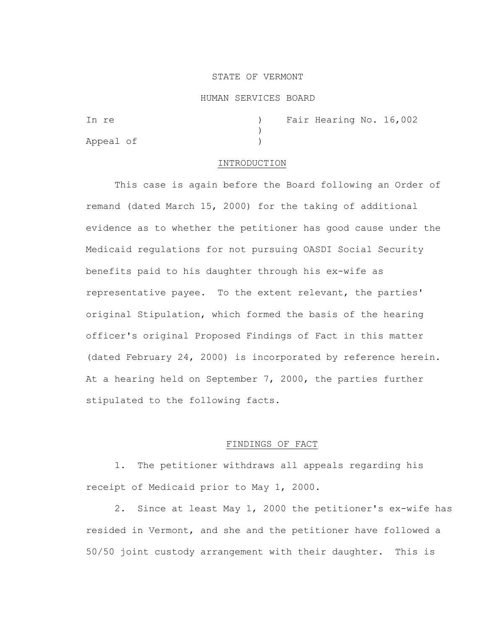# STATE OF VERMONT

### HUMAN SERVICES BOARD

| In re     |  | Fair Hearing No. 16,002 |  |
|-----------|--|-------------------------|--|
|           |  |                         |  |
| Appeal of |  |                         |  |

#### INTRODUCTION

This case is again before the Board following an Order of remand (dated March 15, 2000) for the taking of additional evidence as to whether the petitioner has good cause under the Medicaid regulations for not pursuing OASDI Social Security benefits paid to his daughter through his ex-wife as representative payee. To the extent relevant, the parties' original Stipulation, which formed the basis of the hearing officer's original Proposed Findings of Fact in this matter (dated February 24, 2000) is incorporated by reference herein. At a hearing held on September 7, 2000, the parties further stipulated to the following facts.

#### FINDINGS OF FACT

1. The petitioner withdraws all appeals regarding his receipt of Medicaid prior to May 1, 2000.

2. Since at least May 1, 2000 the petitioner's ex-wife has resided in Vermont, and she and the petitioner have followed a 50/50 joint custody arrangement with their daughter. This is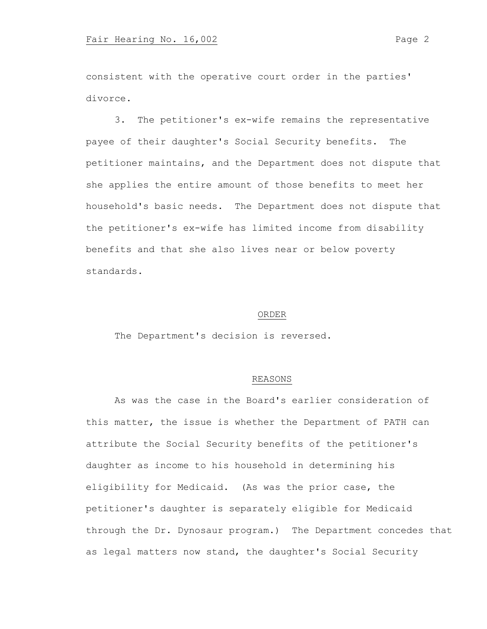consistent with the operative court order in the parties' divorce.

3. The petitioner's ex-wife remains the representative payee of their daughter's Social Security benefits. The petitioner maintains, and the Department does not dispute that she applies the entire amount of those benefits to meet her household's basic needs. The Department does not dispute that the petitioner's ex-wife has limited income from disability benefits and that she also lives near or below poverty standards.

# ORDER

The Department's decision is reversed.

## REASONS

As was the case in the Board's earlier consideration of this matter, the issue is whether the Department of PATH can attribute the Social Security benefits of the petitioner's daughter as income to his household in determining his eligibility for Medicaid. (As was the prior case, the petitioner's daughter is separately eligible for Medicaid through the Dr. Dynosaur program.) The Department concedes that as legal matters now stand, the daughter's Social Security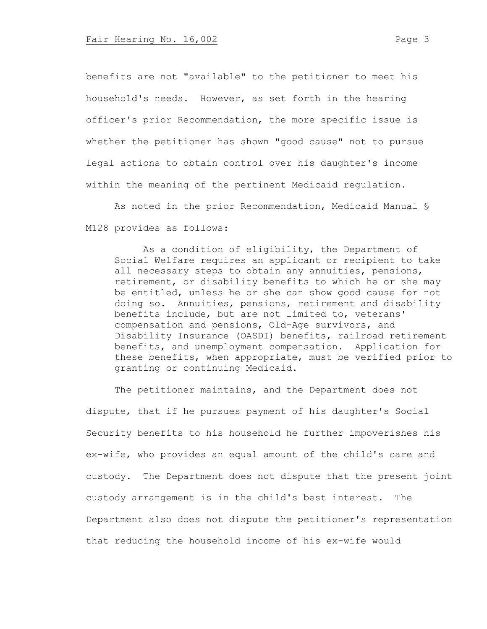benefits are not "available" to the petitioner to meet his household's needs. However, as set forth in the hearing officer's prior Recommendation, the more specific issue is whether the petitioner has shown "good cause" not to pursue legal actions to obtain control over his daughter's income within the meaning of the pertinent Medicaid regulation.

As noted in the prior Recommendation, Medicaid Manual § M128 provides as follows:

As a condition of eligibility, the Department of Social Welfare requires an applicant or recipient to take all necessary steps to obtain any annuities, pensions, retirement, or disability benefits to which he or she may be entitled, unless he or she can show good cause for not doing so. Annuities, pensions, retirement and disability benefits include, but are not limited to, veterans' compensation and pensions, Old-Age survivors, and Disability Insurance (OASDI) benefits, railroad retirement benefits, and unemployment compensation. Application for these benefits, when appropriate, must be verified prior to granting or continuing Medicaid.

The petitioner maintains, and the Department does not dispute, that if he pursues payment of his daughter's Social Security benefits to his household he further impoverishes his ex-wife, who provides an equal amount of the child's care and custody. The Department does not dispute that the present joint custody arrangement is in the child's best interest. The Department also does not dispute the petitioner's representation that reducing the household income of his ex-wife would